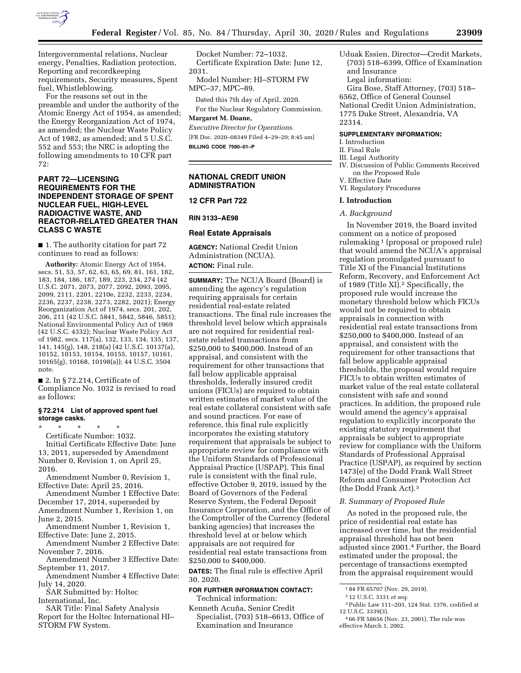

Intergovernmental relations, Nuclear energy, Penalties, Radiation protection, Reporting and recordkeeping requirements, Security measures, Spent fuel, Whistleblowing.

For the reasons set out in the preamble and under the authority of the Atomic Energy Act of 1954, as amended; the Energy Reorganization Act of 1974, as amended; the Nuclear Waste Policy Act of 1982, as amended; and 5 U.S.C. 552 and 553; the NRC is adopting the following amendments to 10 CFR part 72:

## **PART 72—LICENSING REQUIREMENTS FOR THE INDEPENDENT STORAGE OF SPENT NUCLEAR FUEL, HIGH-LEVEL RADIOACTIVE WASTE, AND REACTOR-RELATED GREATER THAN CLASS C WASTE**

■ 1. The authority citation for part 72 continues to read as follows:

**Authority:** Atomic Energy Act of 1954, secs. 51, 53, 57, 62, 63, 65, 69, 81, 161, 182, 183, 184, 186, 187, 189, 223, 234, 274 (42 U.S.C. 2071, 2073, 2077, 2092, 2093, 2095, 2099, 2111, 2201, 2210e, 2232, 2233, 2234, 2236, 2237, 2238, 2273, 2282, 2021); Energy Reorganization Act of 1974, secs. 201, 202, 206, 211 (42 U.S.C. 5841, 5842, 5846, 5851); National Environmental Policy Act of 1969 (42 U.S.C. 4332); Nuclear Waste Policy Act of 1982, secs. 117(a), 132, 133, 134, 135, 137, 141, 145(g), 148, 218(a) (42 U.S.C. 10137(a), 10152, 10153, 10154, 10155, 10157, 10161, 10165(g), 10168, 10198(a)); 44 U.S.C. 3504 note.

■ 2. In § 72.214, Certificate of Compliance No. 1032 is revised to read as follows:

### **§ 72.214 List of approved spent fuel storage casks.**

\* \* \* \* \* Certificate Number: 1032. Initial Certificate Effective Date: June 13, 2011, superseded by Amendment Number 0, Revision 1, on April 25, 2016.

Amendment Number 0, Revision 1, Effective Date: April 25, 2016.

Amendment Number 1 Effective Date: December 17, 2014, superseded by Amendment Number 1, Revision 1, on June 2, 2015. Amendment Number 1, Revision 1,

Effective Date: June 2, 2015.

Amendment Number 2 Effective Date: November 7, 2016.

Amendment Number 3 Effective Date: September 11, 2017.

Amendment Number 4 Effective Date: July 14, 2020.

SAR Submitted by: Holtec International, Inc.

SAR Title: Final Safety Analysis Report for the Holtec International HI– STORM FW System.

Docket Number: 72–1032. Certificate Expiration Date: June 12, 2031.

Model Number: HI–STORM FW MPC–37, MPC–89.

Dated this 7th day of April, 2020. For the Nuclear Regulatory Commission.

#### **Margaret M. Doane,**

*Executive Director for Operations.*  [FR Doc. 2020–08349 Filed 4–29–20; 8:45 am] **BILLING CODE 7590–01–P** 

### **NATIONAL CREDIT UNION ADMINISTRATION**

**12 CFR Part 722** 

#### **RIN 3133–AE98**

#### **Real Estate Appraisals**

**AGENCY:** National Credit Union Administration (NCUA). **ACTION:** Final rule.

**SUMMARY:** The NCUA Board (Board) is amending the agency's regulation requiring appraisals for certain residential real-estate related transactions. The final rule increases the threshold level below which appraisals are not required for residential realestate related transactions from \$250,000 to \$400,000. Instead of an appraisal, and consistent with the requirement for other transactions that fall below applicable appraisal thresholds, federally insured credit unions (FICUs) are required to obtain written estimates of market value of the real estate collateral consistent with safe and sound practices. For ease of reference, this final rule explicitly incorporates the existing statutory requirement that appraisals be subject to appropriate review for compliance with the Uniform Standards of Professional Appraisal Practice (USPAP). This final rule is consistent with the final rule, effective October 9, 2019, issued by the Board of Governors of the Federal Reserve System, the Federal Deposit Insurance Corporation, and the Office of the Comptroller of the Currency (federal banking agencies) that increases the threshold level at or below which appraisals are not required for residential real estate transactions from \$250,000 to \$400,000.

**DATES:** The final rule is effective April 30, 2020.

### **FOR FURTHER INFORMATION CONTACT:**  Technical information:

Kenneth Acuña, Senior Credit Specialist, (703) 518–6613, Office of Examination and Insurance

Uduak Essien, Director—Credit Markets, (703) 518–6399, Office of Examination and Insurance Legal information: Gira Bose, Staff Attorney, (703) 518–

6562, Office of General Counsel National Credit Union Administration, 1775 Duke Street, Alexandria, VA 22314.

#### **SUPPLEMENTARY INFORMATION:**

I. Introduction

# II. Final Rule

- III. Legal Authority
- IV. Discussion of Public Comments Received on the Proposed Rule
- V. Effective Date
- VI. Regulatory Procedures

### **I. Introduction**

### *A. Background*

In November 2019, the Board invited comment on a notice of proposed rulemaking 1 (proposal or proposed rule) that would amend the NCUA's appraisal regulation promulgated pursuant to Title XI of the Financial Institutions Reform, Recovery, and Enforcement Act of 1989 (Title XI).2 Specifically, the proposed rule would increase the monetary threshold below which FICUs would not be required to obtain appraisals in connection with residential real estate transactions from \$250,000 to \$400,000. Instead of an appraisal, and consistent with the requirement for other transactions that fall below applicable appraisal thresholds, the proposal would require FICUs to obtain written estimates of market value of the real estate collateral consistent with safe and sound practices. In addition, the proposed rule would amend the agency's appraisal regulation to explicitly incorporate the existing statutory requirement that appraisals be subject to appropriate review for compliance with the Uniform Standards of Professional Appraisal Practice (USPAP), as required by section 1473(e) of the Dodd Frank Wall Street Reform and Consumer Protection Act (the Dodd Frank Act).3

### *B. Summary of Proposed Rule*

As noted in the proposed rule, the price of residential real estate has increased over time, but the residential appraisal threshold has not been adjusted since 2001.4 Further, the Board estimated under the proposal, the percentage of transactions exempted from the appraisal requirement would

3Public Law 111–203, 124 Stat. 1376, codified at 12 U.S.C. 3339(3).

<sup>1</sup> 84 FR 65707 (Nov. 29, 2019).

<sup>2</sup> 12 U.S.C. 3331 *et seq.* 

<sup>4</sup> 66 FR 58656 (Nov. 23, 2001). The rule was effective March 1, 2002.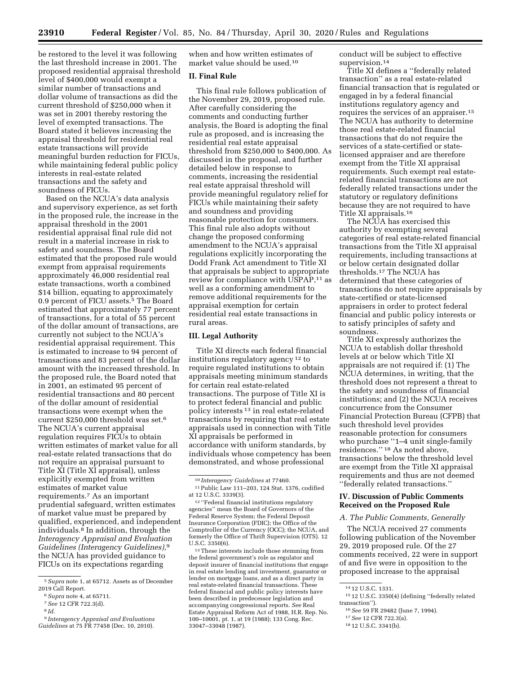be restored to the level it was following the last threshold increase in 2001. The proposed residential appraisal threshold level of \$400,000 would exempt a similar number of transactions and dollar volume of transactions as did the current threshold of \$250,000 when it was set in 2001 thereby restoring the level of exempted transactions. The Board stated it believes increasing the appraisal threshold for residential real estate transactions will provide meaningful burden reduction for FICUs, while maintaining federal public policy interests in real-estate related transactions and the safety and soundness of FICUs.

Based on the NCUA's data analysis and supervisory experience, as set forth in the proposed rule, the increase in the appraisal threshold in the 2001 residential appraisal final rule did not result in a material increase in risk to safety and soundness. The Board estimated that the proposed rule would exempt from appraisal requirements approximately 46,000 residential real estate transactions, worth a combined \$14 billion, equating to approximately 0.9 percent of FICU assets.5 The Board estimated that approximately 77 percent of transactions, for a total of 55 percent of the dollar amount of transactions, are currently not subject to the NCUA's residential appraisal requirement. This is estimated to increase to 94 percent of transactions and 83 percent of the dollar amount with the increased threshold. In the proposed rule, the Board noted that in 2001, an estimated 95 percent of residential transactions and 80 percent of the dollar amount of residential transactions were exempt when the current \$250,000 threshold was set.6 The NCUA's current appraisal regulation requires FICUs to obtain written estimates of market value for all real-estate related transactions that do not require an appraisal pursuant to Title XI (Title XI appraisal), unless explicitly exempted from written estimates of market value requirements.7 As an important prudential safeguard, written estimates of market value must be prepared by qualified, experienced, and independent individuals.8 In addition, through the *Interagency Appraisal and Evaluation Guidelines (Interagency Guidelines),*9 the NCUA has provided guidance to FICUs on its expectations regarding

when and how written estimates of market value should be used.10

### **II. Final Rule**

This final rule follows publication of the November 29, 2019, proposed rule. After carefully considering the comments and conducting further analysis, the Board is adopting the final rule as proposed, and is increasing the residential real estate appraisal threshold from \$250,000 to \$400,000. As discussed in the proposal, and further detailed below in response to comments, increasing the residential real estate appraisal threshold will provide meaningful regulatory relief for FICUs while maintaining their safety and soundness and providing reasonable protection for consumers. This final rule also adopts without change the proposed conforming amendment to the NCUA's appraisal regulations explicitly incorporating the Dodd Frank Act amendment to Title XI that appraisals be subject to appropriate review for compliance with USPAP,11 as well as a conforming amendment to remove additional requirements for the appraisal exemption for certain residential real estate transactions in rural areas.

#### **III. Legal Authority**

Title XI directs each federal financial institutions regulatory agency 12 to require regulated institutions to obtain appraisals meeting minimum standards for certain real estate-related transactions. The purpose of Title XI is to protect federal financial and public policy interests 13 in real estate-related transactions by requiring that real estate appraisals used in connection with Title XI appraisals be performed in accordance with uniform standards, by individuals whose competency has been demonstrated, and whose professional

12 ''Federal financial institutions regulatory agencies'' mean the Board of Governors of the Federal Reserve System; the Federal Deposit Insurance Corporation (FDIC); the Office of the Comptroller of the Currency (OCC); the NCUA, and formerly the Office of Thrift Supervision (OTS). 12 U.S.C. 3350(6).

13These interests include those stemming from the federal government's role as regulator and deposit insurer of financial institutions that engage in real estate lending and investment, guarantor or lender on mortgage loans, and as a direct party in real estate-related financial transactions. These federal financial and public policy interests have been described in predecessor legislation and accompanying congressional reports. *See* Real Estate Appraisal Reform Act of 1988, H.R. Rep. No. 100–10001, pt. 1, at 19 (1988); 133 Cong. Rec. 33047–33048 (1987).

conduct will be subject to effective supervision.<sup>14</sup>

Title XI defines a ''federally related transaction'' as a real estate-related financial transaction that is regulated or engaged in by a federal financial institutions regulatory agency and requires the services of an appraiser.15 The NCUA has authority to determine those real estate-related financial transactions that do not require the services of a state-certified or statelicensed appraiser and are therefore exempt from the Title XI appraisal requirements. Such exempt real estaterelated financial transactions are not federally related transactions under the statutory or regulatory definitions because they are not required to have Title XI appraisals.16

The NCUA has exercised this authority by exempting several categories of real estate-related financial transactions from the Title XI appraisal requirements, including transactions at or below certain designated dollar thresholds.17 The NCUA has determined that these categories of transactions do not require appraisals by state-certified or state-licensed appraisers in order to protect federal financial and public policy interests or to satisfy principles of safety and soundness.

Title XI expressly authorizes the NCUA to establish dollar threshold levels at or below which Title XI appraisals are not required if: (1) The NCUA determines, in writing, that the threshold does not represent a threat to the safety and soundness of financial institutions; and (2) the NCUA receives concurrence from the Consumer Financial Protection Bureau (CFPB) that such threshold level provides reasonable protection for consumers who purchase ''1–4 unit single-family residences.'' 18 As noted above, transactions below the threshold level are exempt from the Title XI appraisal requirements and thus are not deemed ''federally related transactions.''

### **IV. Discussion of Public Comments Received on the Proposed Rule**

## *A. The Public Comments, Generally*

The NCUA received 27 comments following publication of the November 29, 2019 proposed rule. Of the 27 comments received, 22 were in support of and five were in opposition to the proposed increase to the appraisal

<sup>5</sup>*Supra* note 1, at 65712. Assets as of December 2019 Call Report.

<sup>6</sup>*Supra* note 4, at 65711.

<sup>7</sup>*See* 12 CFR 722.3(d).

<sup>8</sup> *Id.* 

<sup>9</sup> *Interagency Appraisal and Evaluations Guidelines* at 75 FR 77458 (Dec. 10, 2010).

<sup>10</sup> *Interagency Guidelines* at 77460.

<sup>11</sup>Public Law 111–203, 124 Stat. 1376, codified at 12 U.S.C. 3339(3).

<sup>14</sup> 12 U.S.C. 1331.

<sup>15</sup> 12 U.S.C. 3350(4) (defining ''federally related transaction'').

<sup>16</sup>*See* 59 FR 29482 (June 7, 1994).

<sup>17</sup>*See* 12 CFR 722.3(a).

<sup>18</sup> 12 U.S.C. 3341(b).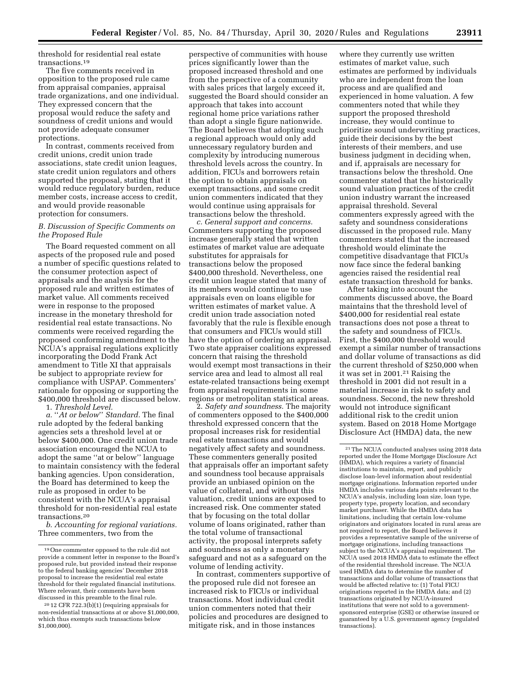threshold for residential real estate transactions.19

The five comments received in opposition to the proposed rule came from appraisal companies, appraisal trade organizations, and one individual. They expressed concern that the proposal would reduce the safety and soundness of credit unions and would not provide adequate consumer protections.

In contrast, comments received from credit unions, credit union trade associations, state credit union leagues, state credit union regulators and others supported the proposal, stating that it would reduce regulatory burden, reduce member costs, increase access to credit, and would provide reasonable protection for consumers.

### *B. Discussion of Specific Comments on the Proposed Rule*

The Board requested comment on all aspects of the proposed rule and posed a number of specific questions related to the consumer protection aspect of appraisals and the analysis for the proposed rule and written estimates of market value. All comments received were in response to the proposed increase in the monetary threshold for residential real estate transactions. No comments were received regarding the proposed conforming amendment to the NCUA's appraisal regulations explicitly incorporating the Dodd Frank Act amendment to Title XI that appraisals be subject to appropriate review for compliance with USPAP. Commenters' rationale for opposing or supporting the \$400,000 threshold are discussed below.

1. *Threshold Level.* 

*a.* ''*At or below*'' *Standard.* The final rule adopted by the federal banking agencies sets a threshold level at or below \$400,000. One credit union trade association encouraged the NCUA to adopt the same ''at or below'' language to maintain consistency with the federal banking agencies. Upon consideration, the Board has determined to keep the rule as proposed in order to be consistent with the NCUA's appraisal threshold for non-residential real estate transactions.20

*b. Accounting for regional variations.*  Three commenters, two from the

perspective of communities with house prices significantly lower than the proposed increased threshold and one from the perspective of a community with sales prices that largely exceed it, suggested the Board should consider an approach that takes into account regional home price variations rather than adopt a single figure nationwide. The Board believes that adopting such a regional approach would only add unnecessary regulatory burden and complexity by introducing numerous threshold levels across the country. In addition, FICUs and borrowers retain the option to obtain appraisals on exempt transactions, and some credit union commenters indicated that they would continue using appraisals for transactions below the threshold.

*c. General support and concerns.*  Commenters supporting the proposed increase generally stated that written estimates of market value are adequate substitutes for appraisals for transactions below the proposed \$400,000 threshold. Nevertheless, one credit union league stated that many of its members would continue to use appraisals even on loans eligible for written estimates of market value. A credit union trade association noted favorably that the rule is flexible enough that consumers and FICUs would still have the option of ordering an appraisal. Two state appraiser coalitions expressed concern that raising the threshold would exempt most transactions in their service area and lead to almost all real estate-related transactions being exempt from appraisal requirements in some regions or metropolitan statistical areas.

2. *Safety and soundness.* The majority of commenters opposed to the \$400,000 threshold expressed concern that the proposal increases risk for residential real estate transactions and would negatively affect safety and soundness. These commenters generally posited that appraisals offer an important safety and soundness tool because appraisals provide an unbiased opinion on the value of collateral, and without this valuation, credit unions are exposed to increased risk. One commenter stated that by focusing on the total dollar volume of loans originated, rather than the total volume of transactional activity, the proposal interprets safety and soundness as only a monetary safeguard and not as a safeguard on the volume of lending activity.

In contrast, commenters supportive of the proposed rule did not foresee an increased risk to FICUs or individual transactions. Most individual credit union commenters noted that their policies and procedures are designed to mitigate risk, and in those instances

where they currently use written estimates of market value, such estimates are performed by individuals who are independent from the loan process and are qualified and experienced in home valuation. A few commenters noted that while they support the proposed threshold increase, they would continue to prioritize sound underwriting practices, guide their decisions by the best interests of their members, and use business judgment in deciding when, and if, appraisals are necessary for transactions below the threshold. One commenter stated that the historically sound valuation practices of the credit union industry warrant the increased appraisal threshold. Several commenters expressly agreed with the safety and soundness considerations discussed in the proposed rule. Many commenters stated that the increased threshold would eliminate the competitive disadvantage that FICUs now face since the federal banking agencies raised the residential real estate transaction threshold for banks.

After taking into account the comments discussed above, the Board maintains that the threshold level of \$400,000 for residential real estate transactions does not pose a threat to the safety and soundness of FICUs. First, the \$400,000 threshold would exempt a similar number of transactions and dollar volume of transactions as did the current threshold of \$250,000 when it was set in 2001.21 Raising the threshold in 2001 did not result in a material increase in risk to safety and soundness. Second, the new threshold would not introduce significant additional risk to the credit union system. Based on 2018 Home Mortgage Disclosure Act (HMDA) data, the new

<sup>19</sup>One commenter opposed to the rule did not provide a comment letter in response to the Board's proposed rule, but provided instead their response to the federal banking agencies' December 2018 proposal to increase the residential real estate threshold for their regulated financial institutions. Where relevant, their comments have been discussed in this preamble to the final rule.

<sup>20</sup> 12 CFR 722.3(b)(1) (requiring appraisals for non-residential transactions at or above \$1,000,000, which thus exempts such transactions below \$1,000,000).

<sup>21</sup>The NCUA conducted analyses using 2018 data reported under the Home Mortgage Disclosure Act (HMDA), which requires a variety of financial institutions to maintain, report, and publicly disclose loan-level information about residential mortgage originations. Information reported under HMDA includes various data points relevant to the NCUA's analysis, including loan size, loan type, property type, property location, and secondary market purchaser. While the HMDA data has limitations, including that certain low-volume originators and originators located in rural areas are not required to report, the Board believes it provides a representative sample of the universe of mortgage originations, including transactions subject to the NCUA's appraisal requirement. The NCUA used 2018 HMDA data to estimate the effect of the residential threshold increase. The NCUA used HMDA data to determine the number of transactions and dollar volume of transactions that would be affected relative to: (1) Total FICU originations reported in the HMDA data; and (2) transactions originated by NCUA-insured institutions that were not sold to a governmentsponsored enterprise (GSE) or otherwise insured or guaranteed by a U.S. government agency (regulated transactions).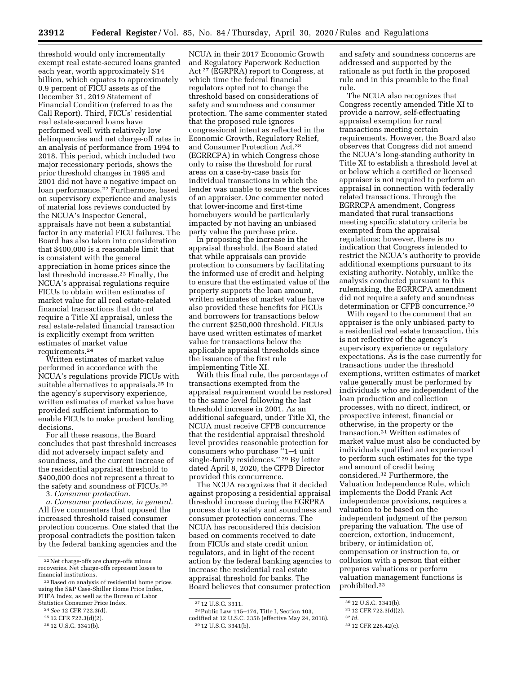threshold would only incrementally exempt real estate-secured loans granted each year, worth approximately \$14 billion, which equates to approximately 0.9 percent of FICU assets as of the December 31, 2019 Statement of Financial Condition (referred to as the Call Report). Third, FICUs' residential real estate-secured loans have performed well with relatively low delinquencies and net charge-off rates in an analysis of performance from 1994 to 2018. This period, which included two major recessionary periods, shows the prior threshold changes in 1995 and 2001 did not have a negative impact on loan performance.<sup>22</sup> Furthermore, based on supervisory experience and analysis of material loss reviews conducted by the NCUA's Inspector General, appraisals have not been a substantial factor in any material FICU failures. The Board has also taken into consideration that \$400,000 is a reasonable limit that is consistent with the general appreciation in home prices since the last threshold increase.23 Finally, the NCUA's appraisal regulations require FICUs to obtain written estimates of market value for all real estate-related financial transactions that do not require a Title XI appraisal, unless the real estate-related financial transaction is explicitly exempt from written estimates of market value requirements.24

Written estimates of market value performed in accordance with the NCUA's regulations provide FICUs with suitable alternatives to appraisals.25 In the agency's supervisory experience, written estimates of market value have provided sufficient information to enable FICUs to make prudent lending decisions.

For all these reasons, the Board concludes that past threshold increases did not adversely impact safety and soundness, and the current increase of the residential appraisal threshold to \$400,000 does not represent a threat to the safety and soundness of FICUs.26

3. *Consumer protection.* 

*a. Consumer protections, in general.*  All five commenters that opposed the increased threshold raised consumer protection concerns. One stated that the proposal contradicts the position taken by the federal banking agencies and the

NCUA in their 2017 Economic Growth and Regulatory Paperwork Reduction Act 27 (EGRPRA) report to Congress, at which time the federal financial regulators opted not to change the threshold based on considerations of safety and soundness and consumer protection. The same commenter stated that the proposed rule ignores congressional intent as reflected in the Economic Growth, Regulatory Relief, and Consumer Protection Act,28 (EGRRCPA) in which Congress chose only to raise the threshold for rural areas on a case-by-case basis for individual transactions in which the lender was unable to secure the services of an appraiser. One commenter noted that lower-income and first-time homebuyers would be particularly impacted by not having an unbiased party value the purchase price.

In proposing the increase in the appraisal threshold, the Board stated that while appraisals can provide protection to consumers by facilitating the informed use of credit and helping to ensure that the estimated value of the property supports the loan amount, written estimates of market value have also provided these benefits for FICUs and borrowers for transactions below the current \$250,000 threshold. FICUs have used written estimates of market value for transactions below the applicable appraisal thresholds since the issuance of the first rule implementing Title XI.

With this final rule, the percentage of transactions exempted from the appraisal requirement would be restored to the same level following the last threshold increase in 2001. As an additional safeguard, under Title XI, the NCUA must receive CFPB concurrence that the residential appraisal threshold level provides reasonable protection for consumers who purchase ''1–4 unit single-family residences.'' 29 By letter dated April 8, 2020, the CFPB Director provided this concurrence.

The NCUA recognizes that it decided against proposing a residential appraisal threshold increase during the EGRPRA process due to safety and soundness and consumer protection concerns. The NCUA has reconsidered this decision based on comments received to date from FICUs and state credit union regulators, and in light of the recent action by the federal banking agencies to increase the residential real estate appraisal threshold for banks. The Board believes that consumer protection

and safety and soundness concerns are addressed and supported by the rationale as put forth in the proposed rule and in this preamble to the final rule.

The NCUA also recognizes that Congress recently amended Title XI to provide a narrow, self-effectuating appraisal exemption for rural transactions meeting certain requirements. However, the Board also observes that Congress did not amend the NCUA's long-standing authority in Title XI to establish a threshold level at or below which a certified or licensed appraiser is not required to perform an appraisal in connection with federally related transactions. Through the EGRRCPA amendment, Congress mandated that rural transactions meeting specific statutory criteria be exempted from the appraisal regulations; however, there is no indication that Congress intended to restrict the NCUA's authority to provide additional exemptions pursuant to its existing authority. Notably, unlike the analysis conducted pursuant to this rulemaking, the EGRRCPA amendment did not require a safety and soundness determination or CFPB concurrence.30

With regard to the comment that an appraiser is the only unbiased party to a residential real estate transaction, this is not reflective of the agency's supervisory experience or regulatory expectations. As is the case currently for transactions under the threshold exemptions, written estimates of market value generally must be performed by individuals who are independent of the loan production and collection processes, with no direct, indirect, or prospective interest, financial or otherwise, in the property or the transaction.31 Written estimates of market value must also be conducted by individuals qualified and experienced to perform such estimates for the type and amount of credit being considered.32 Furthermore, the Valuation Independence Rule, which implements the Dodd Frank Act independence provisions, requires a valuation to be based on the independent judgment of the person preparing the valuation. The use of coercion, extortion, inducement, bribery, or intimidation of, compensation or instruction to, or collusion with a person that either prepares valuations or perform valuation management functions is prohibited.33

<sup>22</sup>Net charge-offs are charge-offs minus recoveries. Net charge-offs represent losses to financial institutions.

<sup>23</sup>Based on analysis of residential home prices using the S&P Case-Shiller Home Price Index, FHFA Index, as well as the Bureau of Labor Statistics Consumer Price Index.

<sup>24</sup>*See* 12 CFR 722.3(d).

<sup>25</sup> 12 CFR 722.3(d)(2).

<sup>26</sup> 12 U.S.C. 3341(b).

<sup>27</sup> 12 U.S.C. 3311.

<sup>28</sup>Public Law 115–174, Title I, Section 103, codified at 12 U.S.C. 3356 (effective May 24, 2018). 29 12 U.S.C. 3341(b).

<sup>30</sup> 12 U.S.C. 3341(b).

<sup>31</sup> 12 CFR 722.3(d)(2).

<sup>32</sup> *Id.* 

<sup>33</sup> 12 CFR 226.42(c).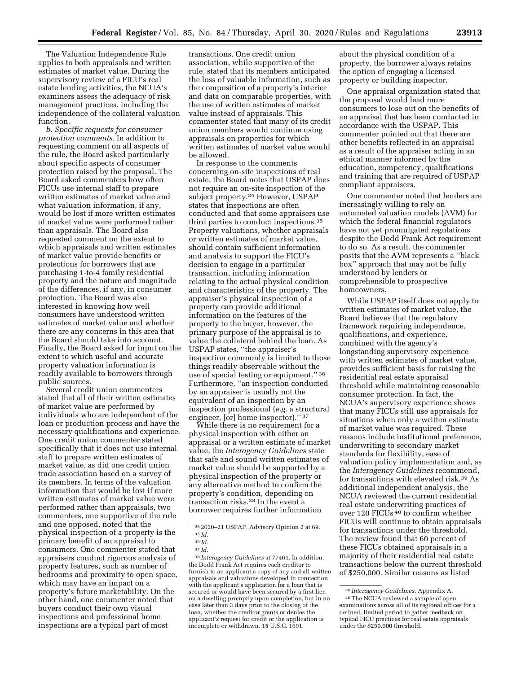The Valuation Independence Rule applies to both appraisals and written estimates of market value. During the supervisory review of a FICU's real estate lending activities, the NCUA's examiners assess the adequacy of risk management practices, including the independence of the collateral valuation function.

*b. Specific requests for consumer protection comments.* In addition to requesting comment on all aspects of the rule, the Board asked particularly about specific aspects of consumer protection raised by the proposal. The Board asked commenters how often FICUs use internal staff to prepare written estimates of market value and what valuation information, if any, would be lost if more written estimates of market value were performed rather than appraisals. The Board also requested comment on the extent to which appraisals and written estimates of market value provide benefits or protections for borrowers that are purchasing 1-to-4 family residential property and the nature and magnitude of the differences, if any, in consumer protection. The Board was also interested in knowing how well consumers have understood written estimates of market value and whether there are any concerns in this area that the Board should take into account. Finally, the Board asked for input on the extent to which useful and accurate property valuation information is readily available to borrowers through public sources.

Several credit union commenters stated that all of their written estimates of market value are performed by individuals who are independent of the loan or production process and have the necessary qualifications and experience. One credit union commenter stated specifically that it does not use internal staff to prepare written estimates of market value, as did one credit union trade association based on a survey of its members. In terms of the valuation information that would be lost if more written estimates of market value were performed rather than appraisals, two commenters, one supportive of the rule and one opposed, noted that the physical inspection of a property is the primary benefit of an appraisal to consumers. One commenter stated that appraisers conduct rigorous analysis of property features, such as number of bedrooms and proximity to open space, which may have an impact on a property's future marketability. On the other hand, one commenter noted that buyers conduct their own visual inspections and professional home inspections are a typical part of most

transactions. One credit union association, while supportive of the rule, stated that its members anticipated the loss of valuable information, such as the composition of a property's interior and data on comparable properties, with the use of written estimates of market value instead of appraisals. This commenter stated that many of its credit union members would continue using appraisals on properties for which written estimates of market value would be allowed.

In response to the comments concerning on-site inspections of real estate, the Board notes that USPAP does not require an on-site inspection of the subject property.<sup>34</sup> However, USPAP states that inspections are often conducted and that some appraisers use third parties to conduct inspections.35 Property valuations, whether appraisals or written estimates of market value, should contain sufficient information and analysis to support the FICU's decision to engage in a particular transaction, including information relating to the actual physical condition and characteristics of the property. The appraiser's physical inspection of a property can provide additional information on the features of the property to the buyer, however, the primary purpose of the appraisal is to value the collateral behind the loan. As USPAP states, ''the appraiser's inspection commonly is limited to those things readily observable without the use of special testing or equipment.'' 36 Furthermore, ''an inspection conducted by an appraiser is usually not the equivalent of an inspection by an inspection professional (*e.g.* a structural engineer, [or] home inspector]." 37

While there is no requirement for a physical inspection with either an appraisal or a written estimate of market value, the *Interagency Guidelines* state that safe and sound written estimates of market value should be supported by a physical inspection of the property or any alternative method to confirm the property's condition, depending on transaction risks.38 In the event a borrower requires further information

38 *Interagency Guidelines* at 77461. In addition, the Dodd Frank Act requires each creditor to furnish to an applicant a copy of any and all written appraisals and valuations developed in connection with the applicant's application for a loan that is secured or would have been secured by a first lien on a dwelling promptly upon completion, but in no case later than 3 days prior to the closing of the loan, whether the creditor grants or denies the applicant's request for credit or the application is incomplete or withdrawn. 15 U.S.C. 1691.

about the physical condition of a property, the borrower always retains the option of engaging a licensed property or building inspector.

One appraisal organization stated that the proposal would lead more consumers to lose out on the benefits of an appraisal that has been conducted in accordance with the USPAP. This commenter pointed out that there are other benefits reflected in an appraisal as a result of the appraiser acting in an ethical manner informed by the education, competency, qualifications and training that are required of USPAP compliant appraisers.

One commenter noted that lenders are increasingly willing to rely on automated valuation models (AVM) for which the federal financial regulators have not yet promulgated regulations despite the Dodd Frank Act requirement to do so. As a result, the commenter posits that the AVM represents a ''black box'' approach that may not be fully understood by lenders or comprehensible to prospective homeowners.

While USPAP itself does not apply to written estimates of market value, the Board believes that the regulatory framework requiring independence, qualifications, and experience, combined with the agency's longstanding supervisory experience with written estimates of market value, provides sufficient basis for raising the residential real estate appraisal threshold while maintaining reasonable consumer protection. In fact, the NCUA's supervisory experience shows that many FICUs still use appraisals for situations when only a written estimate of market value was required. These reasons include institutional preference, underwriting to secondary market standards for flexibility, ease of valuation policy implementation and, as the *Interagency Guidelines* recommend, for transactions with elevated risk.39 As additional independent analysis, the NCUA reviewed the current residential real estate underwriting practices of over 120 FICUs 40 to confirm whether FICUs will continue to obtain appraisals for transactions under the threshold. The review found that 60 percent of these FICUs obtained appraisals in a majority of their residential real estate transactions below the current threshold of \$250,000. Similar reasons as listed

<sup>34</sup> 2020–21 USPAP, Advisory Opinion 2 at 69.

<sup>35</sup> *Id.* 

<sup>36</sup> *Id.* 

<sup>37</sup> *Id.* 

<sup>39</sup> *Interagency Guidelines,* Appendix A. 40The NCUA reviewed a sample of open examinations across all of its regional offices for a defined, limited period to gather feedback on typical FICU practices for real estate appraisals under the \$250,000 threshold.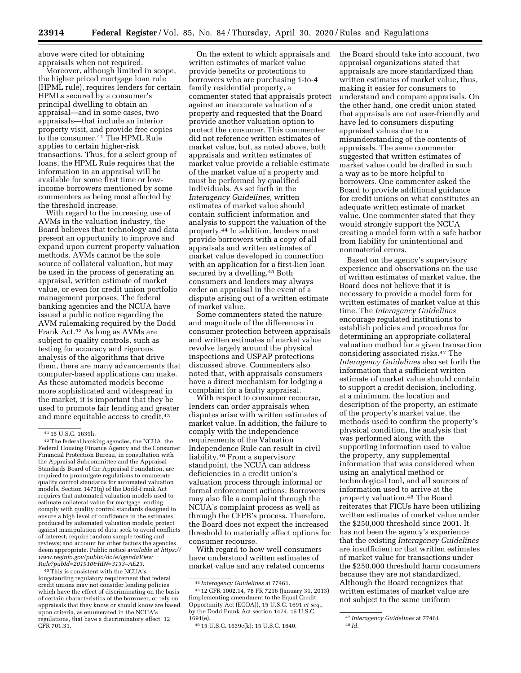above were cited for obtaining appraisals when not required.

Moreover, although limited in scope, the higher priced mortgage loan rule (HPML rule), requires lenders for certain HPMLs secured by a consumer's principal dwelling to obtain an appraisal—and in some cases, two appraisals—that include an interior property visit, and provide free copies to the consumer.<sup>41</sup> The HPML Rule applies to certain higher-risk transactions. Thus, for a select group of loans, the HPML Rule requires that the information in an appraisal will be available for some first time or lowincome borrowers mentioned by some commenters as being most affected by the threshold increase.

With regard to the increasing use of AVMs in the valuation industry, the Board believes that technology and data present an opportunity to improve and expand upon current property valuation methods. AVMs cannot be the sole source of collateral valuation, but may be used in the process of generating an appraisal, written estimate of market value, or even for credit union portfolio management purposes. The federal banking agencies and the NCUA have issued a public notice regarding the AVM rulemaking required by the Dodd Frank Act.42 As long as AVMs are subject to quality controls, such as testing for accuracy and rigorous analysis of the algorithms that drive them, there are many advancements that computer-based applications can make. As these automated models become more sophisticated and widespread in the market, it is important that they be used to promote fair lending and greater and more equitable access to credit.43

43This is consistent with the NCUA's longstanding regulatory requirement that federal credit unions may not consider lending policies which have the effect of discriminating on the basis of certain characteristics of the borrower, or rely on appraisals that they know or should know are based upon criteria, as enumerated in the NCUA's regulations, that have a discriminatory effect. 12 CFR 701.31.

On the extent to which appraisals and written estimates of market value provide benefits or protections to borrowers who are purchasing 1-to-4 family residential property, a commenter stated that appraisals protect against an inaccurate valuation of a property and requested that the Board provide another valuation option to protect the consumer. This commenter did not reference written estimates of market value, but, as noted above, both appraisals and written estimates of market value provide a reliable estimate of the market value of a property and must be performed by qualified individuals. As set forth in the *Interagency Guidelines,* written estimates of market value should contain sufficient information and analysis to support the valuation of the property.44 In addition, lenders must provide borrowers with a copy of all appraisals and written estimates of market value developed in connection with an application for a first-lien loan secured by a dwelling.45 Both consumers and lenders may always order an appraisal in the event of a dispute arising out of a written estimate of market value.

Some commenters stated the nature and magnitude of the differences in consumer protection between appraisals and written estimates of market value revolve largely around the physical inspections and USPAP protections discussed above. Commenters also noted that, with appraisals consumers have a direct mechanism for lodging a complaint for a faulty appraisal.

With respect to consumer recourse, lenders can order appraisals when disputes arise with written estimates of market value. In addition, the failure to comply with the independence requirements of the Valuation Independence Rule can result in civil liability.46 From a supervisory standpoint, the NCUA can address deficiencies in a credit union's valuation process through informal or formal enforcement actions. Borrowers may also file a complaint through the NCUA's complaint process as well as through the CFPB's process. Therefore, the Board does not expect the increased threshold to materially affect options for consumer recourse.

With regard to how well consumers have understood written estimates of market value and any related concerns the Board should take into account, two appraisal organizations stated that appraisals are more standardized than written estimates of market value, thus, making it easier for consumers to understand and compare appraisals. On the other hand, one credit union stated that appraisals are not user-friendly and have led to consumers disputing appraised values due to a misunderstanding of the contents of appraisals. The same commenter suggested that written estimates of market value could be drafted in such a way as to be more helpful to borrowers. One commenter asked the Board to provide additional guidance for credit unions on what constitutes an adequate written estimate of market value. One commenter stated that they would strongly support the NCUA creating a model form with a safe harbor from liability for unintentional and nonmaterial errors.

Based on the agency's supervisory experience and observations on the use of written estimates of market value, the Board does not believe that it is necessary to provide a model form for written estimates of market value at this time. The *Interagency Guidelines*  encourage regulated institutions to establish policies and procedures for determining an appropriate collateral valuation method for a given transaction considering associated risks.47 The *Interagency Guidelines* also set forth the information that a sufficient written estimate of market value should contain to support a credit decision, including, at a minimum, the location and description of the property, an estimate of the property's market value, the methods used to confirm the property's physical condition, the analysis that was performed along with the supporting information used to value the property, any supplemental information that was considered when using an analytical method or technological tool, and all sources of information used to arrive at the property valuation.48 The Board reiterates that FICUs have been utilizing written estimates of market value under the \$250,000 threshold since 2001. It has not been the agency's experience that the existing *Interagency Guidelines*  are insufficient or that written estimates of market value for transactions under the \$250,000 threshold harm consumers because they are not standardized. Although the Board recognizes that written estimates of market value are not subject to the same uniform

<sup>41</sup> 15 U.S.C. 1639h.

<sup>42</sup>The federal banking agencies, the NCUA, the Federal Housing Finance Agency and the Consumer Financial Protection Bureau, in consultation with the Appraisal Subcommittee and the Appraisal Standards Board of the Appraisal Foundation, are required to promulgate regulations to enumerate quality control standards for automated valuation models. Section 1473(q) of the Dodd-Frank Act requires that automated valuation models used to estimate collateral value for mortgage lending comply with quality control standards designed to ensure a high level of confidence in the estimates produced by automated valuation models; protect against manipulation of data; seek to avoid conflicts of interest; require random sample testing and reviews; and account for other factors the agencies deem appropriate. Public notice a*vailable at https:// www.reginfo.gov/public/do/eAgendaView Rule?pubId=201910&RIN=3133–AE23.* 

<sup>44</sup> *Interagency Guidelines* at 77461.

<sup>45</sup> 12 CFR 1002.14, 78 FR 7216 (January 31, 2013) (implementing amendment to the Equal Credit Opportunity Act (ECOA)), 15 U.S.C. 1691 *et seq.,*  by the Dodd Frank Act section 1474. 15 U.S.C. 1691(e).

<sup>46</sup> 15 U.S.C. 1639e(k); 15 U.S.C. 1640.

<sup>47</sup> *Interagency Guidelines* at 77461.

<sup>48</sup> *Id.*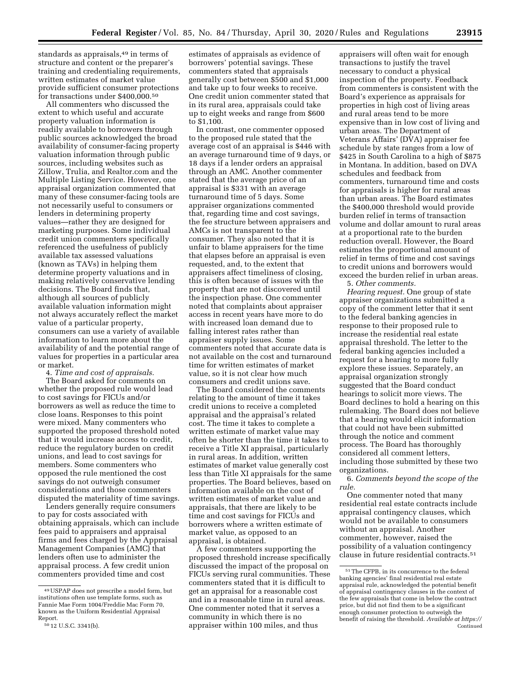standards as appraisals,49 in terms of structure and content or the preparer's training and credentialing requirements, written estimates of market value provide sufficient consumer protections for transactions under \$400,000.50

All commenters who discussed the extent to which useful and accurate property valuation information is readily available to borrowers through public sources acknowledged the broad availability of consumer-facing property valuation information through public sources, including websites such as Zillow, Trulia, and Realtor.com and the Multiple Listing Service. However, one appraisal organization commented that many of these consumer-facing tools are not necessarily useful to consumers or lenders in determining property values—rather they are designed for marketing purposes. Some individual credit union commenters specifically referenced the usefulness of publicly available tax assessed valuations (known as TAVs) in helping them determine property valuations and in making relatively conservative lending decisions. The Board finds that, although all sources of publicly available valuation information might not always accurately reflect the market value of a particular property, consumers can use a variety of available information to learn more about the availability of and the potential range of values for properties in a particular area or market.

4. *Time and cost of appraisals.* 

The Board asked for comments on whether the proposed rule would lead to cost savings for FICUs and/or borrowers as well as reduce the time to close loans. Responses to this point were mixed. Many commenters who supported the proposed threshold noted that it would increase access to credit, reduce the regulatory burden on credit unions, and lead to cost savings for members. Some commenters who opposed the rule mentioned the cost savings do not outweigh consumer considerations and those commenters disputed the materiality of time savings.

Lenders generally require consumers to pay for costs associated with obtaining appraisals, which can include fees paid to appraisers and appraisal firms and fees charged by the Appraisal Management Companies (AMC) that lenders often use to administer the appraisal process. A few credit union commenters provided time and cost

estimates of appraisals as evidence of borrowers' potential savings. These commenters stated that appraisals generally cost between \$500 and \$1,000 and take up to four weeks to receive. One credit union commenter stated that in its rural area, appraisals could take up to eight weeks and range from \$600 to \$1,100.

In contrast, one commenter opposed to the proposed rule stated that the average cost of an appraisal is \$446 with an average turnaround time of 9 days, or 18 days if a lender orders an appraisal through an AMC. Another commenter stated that the average price of an appraisal is \$331 with an average turnaround time of 5 days. Some appraiser organizations commented that, regarding time and cost savings, the fee structure between appraisers and AMCs is not transparent to the consumer. They also noted that it is unfair to blame appraisers for the time that elapses before an appraisal is even requested, and, to the extent that appraisers affect timeliness of closing, this is often because of issues with the property that are not discovered until the inspection phase. One commenter noted that complaints about appraiser access in recent years have more to do with increased loan demand due to falling interest rates rather than appraiser supply issues. Some commenters noted that accurate data is not available on the cost and turnaround time for written estimates of market value, so it is not clear how much consumers and credit unions save.

The Board considered the comments relating to the amount of time it takes credit unions to receive a completed appraisal and the appraisal's related cost. The time it takes to complete a written estimate of market value may often be shorter than the time it takes to receive a Title XI appraisal, particularly in rural areas. In addition, written estimates of market value generally cost less than Title XI appraisals for the same properties. The Board believes, based on information available on the cost of written estimates of market value and appraisals, that there are likely to be time and cost savings for FICUs and borrowers where a written estimate of market value, as opposed to an appraisal, is obtained.

A few commenters supporting the proposed threshold increase specifically discussed the impact of the proposal on FICUs serving rural communities. These commenters stated that it is difficult to get an appraisal for a reasonable cost and in a reasonable time in rural areas. One commenter noted that it serves a community in which there is no appraiser within 100 miles, and thus

appraisers will often wait for enough transactions to justify the travel necessary to conduct a physical inspection of the property. Feedback from commenters is consistent with the Board's experience as appraisals for properties in high cost of living areas and rural areas tend to be more expensive than in low cost of living and urban areas. The Department of Veterans Affairs' ( $D\bar{V}A$ ) appraiser fee schedule by state ranges from a low of \$425 in South Carolina to a high of \$875 in Montana. In addition, based on DVA schedules and feedback from commenters, turnaround time and costs for appraisals is higher for rural areas than urban areas. The Board estimates the \$400,000 threshold would provide burden relief in terms of transaction volume and dollar amount to rural areas at a proportional rate to the burden reduction overall. However, the Board estimates the proportional amount of relief in terms of time and cost savings to credit unions and borrowers would exceed the burden relief in urban areas.

5. *Other comments. Hearing request.* One group of state appraiser organizations submitted a copy of the comment letter that it sent to the federal banking agencies in response to their proposed rule to increase the residential real estate appraisal threshold. The letter to the federal banking agencies included a request for a hearing to more fully explore these issues. Separately, an appraisal organization strongly suggested that the Board conduct hearings to solicit more views. The Board declines to hold a hearing on this rulemaking. The Board does not believe that a hearing would elicit information that could not have been submitted through the notice and comment process. The Board has thoroughly considered all comment letters, including those submitted by these two organizations.

6. *Comments beyond the scope of the rule.* 

One commenter noted that many residential real estate contracts include appraisal contingency clauses, which would not be available to consumers without an appraisal. Another commenter, however, raised the possibility of a valuation contingency clause in future residential contracts.51

<sup>49</sup>USPAP does not prescribe a model form, but institutions often use template forms, such as Fannie Mae Form 1004/Freddie Mac Form 70, known as the Uniform Residential Appraisal Report.

<sup>50</sup> 12 U.S.C. 3341(b).

<sup>51</sup>The CFPB, in its concurrence to the federal banking agencies' final residential real estate appraisal rule, acknowledged the potential benefit of appraisal contingency clauses in the context of the few appraisals that come in below the contract price, but did not find them to be a significant enough consumer protection to outweigh the benefit of raising the threshold. *Available at https://*  Continued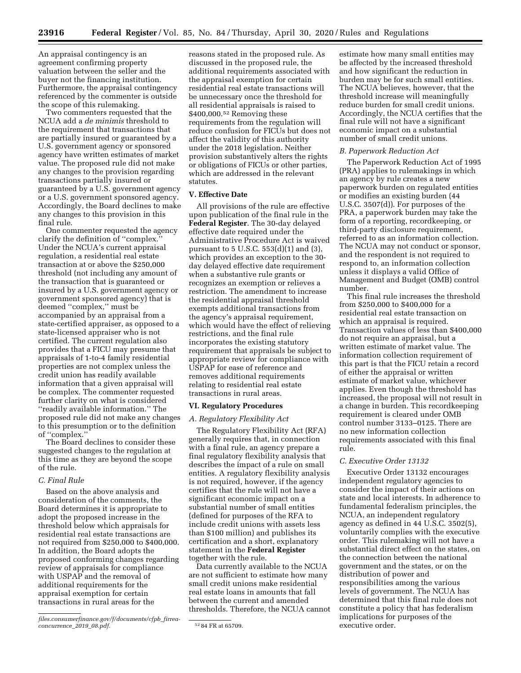An appraisal contingency is an agreement confirming property valuation between the seller and the buyer not the financing institution. Furthermore, the appraisal contingency referenced by the commenter is outside the scope of this rulemaking.

Two commenters requested that the NCUA add a *de minimis* threshold to the requirement that transactions that are partially insured or guaranteed by a U.S. government agency or sponsored agency have written estimates of market value. The proposed rule did not make any changes to the provision regarding transactions partially insured or guaranteed by a U.S. government agency or a U.S. government sponsored agency. Accordingly, the Board declines to make any changes to this provision in this final rule.

One commenter requested the agency clarify the definition of ''complex.'' Under the NCUA's current appraisal regulation, a residential real estate transaction at or above the \$250,000 threshold (not including any amount of the transaction that is guaranteed or insured by a U.S. government agency or government sponsored agency) that is deemed ''complex,'' must be accompanied by an appraisal from a state-certified appraiser, as opposed to a state-licensed appraiser who is not certified. The current regulation also provides that a FICU may presume that appraisals of 1-to-4 family residential properties are not complex unless the credit union has readily available information that a given appraisal will be complex. The commenter requested further clarity on what is considered ''readily available information.'' The proposed rule did not make any changes to this presumption or to the definition of ''complex.''

The Board declines to consider these suggested changes to the regulation at this time as they are beyond the scope of the rule.

#### *C. Final Rule*

Based on the above analysis and consideration of the comments, the Board determines it is appropriate to adopt the proposed increase in the threshold below which appraisals for residential real estate transactions are not required from \$250,000 to \$400,000. In addition, the Board adopts the proposed conforming changes regarding review of appraisals for compliance with USPAP and the removal of additional requirements for the appraisal exemption for certain transactions in rural areas for the

reasons stated in the proposed rule. As discussed in the proposed rule, the additional requirements associated with the appraisal exemption for certain residential real estate transactions will be unnecessary once the threshold for all residential appraisals is raised to \$400,000.52 Removing these requirements from the regulation will reduce confusion for FICUs but does not affect the validity of this authority under the 2018 legislation. Neither provision substantively alters the rights or obligations of FICUs or other parties, which are addressed in the relevant statutes.

#### **V. Effective Date**

All provisions of the rule are effective upon publication of the final rule in the **Federal Register**. The 30-day delayed effective date required under the Administrative Procedure Act is waived pursuant to 5 U.S.C. 553(d)(1) and (3), which provides an exception to the 30 day delayed effective date requirement when a substantive rule grants or recognizes an exemption or relieves a restriction. The amendment to increase the residential appraisal threshold exempts additional transactions from the agency's appraisal requirement, which would have the effect of relieving restrictions, and the final rule incorporates the existing statutory requirement that appraisals be subject to appropriate review for compliance with USPAP for ease of reference and removes additional requirements relating to residential real estate transactions in rural areas.

### **VI. Regulatory Procedures**

### *A. Regulatory Flexibility Act*

The Regulatory Flexibility Act (RFA) generally requires that, in connection with a final rule, an agency prepare a final regulatory flexibility analysis that describes the impact of a rule on small entities. A regulatory flexibility analysis is not required, however, if the agency certifies that the rule will not have a significant economic impact on a substantial number of small entities (defined for purposes of the RFA to include credit unions with assets less than \$100 million) and publishes its certification and a short, explanatory statement in the **Federal Register**  together with the rule.

Data currently available to the NCUA are not sufficient to estimate how many small credit unions make residential real estate loans in amounts that fall between the current and amended thresholds. Therefore, the NCUA cannot

estimate how many small entities may be affected by the increased threshold and how significant the reduction in burden may be for such small entities. The NCUA believes, however, that the threshold increase will meaningfully reduce burden for small credit unions. Accordingly, the NCUA certifies that the final rule will not have a significant economic impact on a substantial number of small credit unions.

#### *B. Paperwork Reduction Act*

The Paperwork Reduction Act of 1995 (PRA) applies to rulemakings in which an agency by rule creates a new paperwork burden on regulated entities or modifies an existing burden (44 U.S.C. 3507(d)). For purposes of the PRA, a paperwork burden may take the form of a reporting, recordkeeping, or third-party disclosure requirement, referred to as an information collection. The NCUA may not conduct or sponsor, and the respondent is not required to respond to, an information collection unless it displays a valid Office of Management and Budget (OMB) control number.

This final rule increases the threshold from \$250,000 to \$400,000 for a residential real estate transaction on which an appraisal is required. Transaction values of less than \$400,000 do not require an appraisal, but a written estimate of market value. The information collection requirement of this part is that the FICU retain a record of either the appraisal or written estimate of market value, whichever applies. Even though the threshold has increased, the proposal will not result in a change in burden. This recordkeeping requirement is cleared under OMB control number 3133–0125. There are no new information collection requirements associated with this final rule.

### *C. Executive Order 13132*

Executive Order 13132 encourages independent regulatory agencies to consider the impact of their actions on state and local interests. In adherence to fundamental federalism principles, the NCUA, an independent regulatory agency as defined in 44 U.S.C. 3502(5), voluntarily complies with the executive order. This rulemaking will not have a substantial direct effect on the states, on the connection between the national government and the states, or on the distribution of power and responsibilities among the various levels of government. The NCUA has determined that this final rule does not constitute a policy that has federalism implications for purposes of the executive order.

*files.consumerfinance.gov/f/documents/cfpb*\_*firreaconcurrence*\_*2019*\_*08.pdf.* 52 84 FR at 65709.